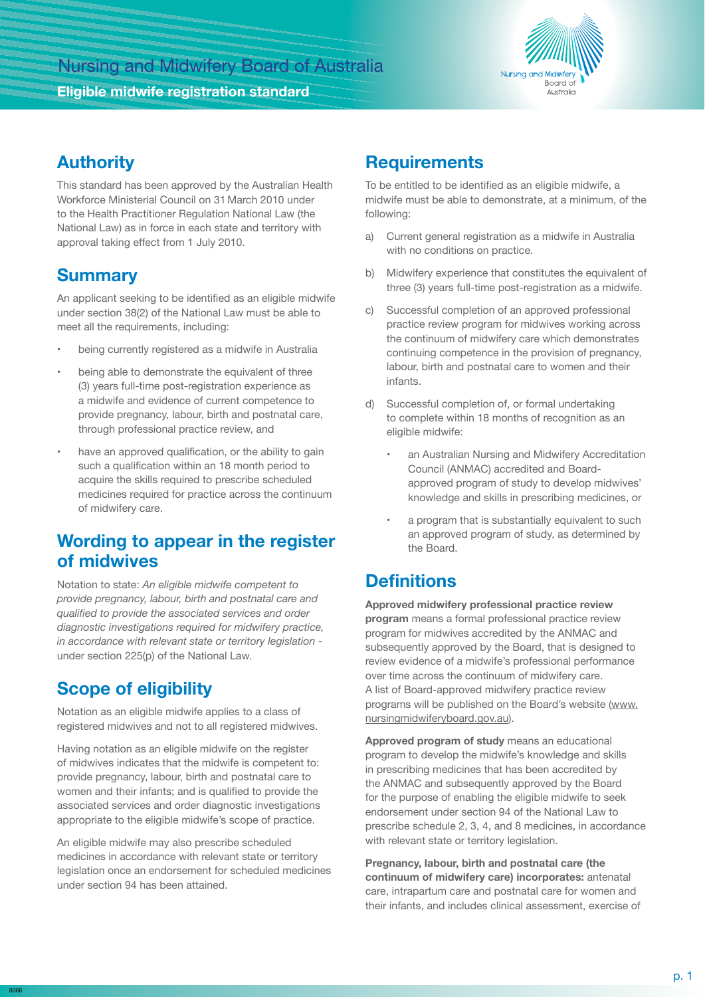

### **Authority**

This standard has been approved by the Australian Health Workforce Ministerial Council on 31 March 2010 under to the Health Practitioner Regulation National Law (the National Law) as in force in each state and territory with approval taking effect from 1 July 2010.

### **Summary**

An applicant seeking to be identified as an eligible midwife under section 38(2) of the National Law must be able to meet all the requirements, including:

- being currently registered as a midwife in Australia
- being able to demonstrate the equivalent of three (3) years full-time post-registration experience as a midwife and evidence of current competence to provide pregnancy, labour, birth and postnatal care, through professional practice review, and
- have an approved qualification, or the ability to gain such a qualification within an 18 month period to acquire the skills required to prescribe scheduled medicines required for practice across the continuum of midwifery care.

#### **Wording to appear in the register of midwives**

Notation to state: *An eligible midwife competent to provide pregnancy, labour, birth and postnatal care and qualified to provide the associated services and order diagnostic investigations required for midwifery practice, in accordance with relevant state or territory legislation*  under section 225(p) of the National Law.

# **Scope of eligibility**

Notation as an eligible midwife applies to a class of registered midwives and not to all registered midwives.

Having notation as an eligible midwife on the register of midwives indicates that the midwife is competent to: provide pregnancy, labour, birth and postnatal care to women and their infants; and is qualified to provide the associated services and order diagnostic investigations appropriate to the eligible midwife's scope of practice.

An eligible midwife may also prescribe scheduled medicines in accordance with relevant state or territory legislation once an endorsement for scheduled medicines under section 94 has been attained.

#### **Requirements**

To be entitled to be identified as an eligible midwife, a midwife must be able to demonstrate, at a minimum, of the following:

- a) Current general registration as a midwife in Australia with no conditions on practice.
- b) Midwifery experience that constitutes the equivalent of three (3) years full-time post-registration as a midwife.
- c) Successful completion of an approved professional practice review program for midwives working across the continuum of midwifery care which demonstrates continuing competence in the provision of pregnancy, labour, birth and postnatal care to women and their infants.
- d) Successful completion of, or formal undertaking to complete within 18 months of recognition as an eligible midwife:
	- an Australian Nursing and Midwifery Accreditation Council (ANMAC) accredited and Boardapproved program of study to develop midwives' knowledge and skills in prescribing medicines, or
	- a program that is substantially equivalent to such an approved program of study, as determined by the Board.

## **Definitions**

**Approved midwifery professional practice review program** means a formal professional practice review program for midwives accredited by the ANMAC and subsequently approved by the Board, that is designed to review evidence of a midwife's professional performance over time across the continuum of midwifery care. A list of Board-approved midwifery practice review programs will be published on the Board's website (www. nursingmidwiferyboard.gov.au).

**Approved program of study** means an educational program to develop the midwife's knowledge and skills in prescribing medicines that has been accredited by the ANMAC and subsequently approved by the Board for the purpose of enabling the eligible midwife to seek endorsement under section 94 of the National Law to prescribe schedule 2, 3, 4, and 8 medicines, in accordance with relevant state or territory legislation.

**Pregnancy, labour, birth and postnatal care (the continuum of midwifery care) incorporates:** antenatal care, intrapartum care and postnatal care for women and their infants, and includes clinical assessment, exercise of